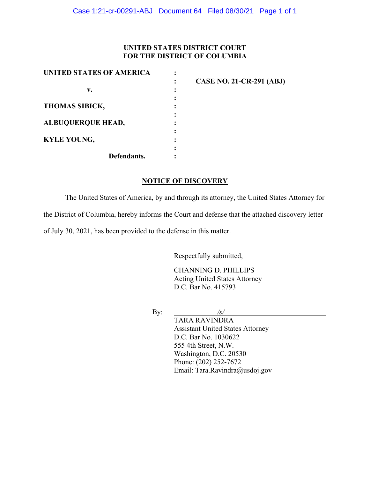## **UNITED STATES DISTRICT COURT FOR THE DISTRICT OF COLUMBIA**

| UNITED STATES OF AMERICA |                                 |
|--------------------------|---------------------------------|
|                          | <b>CASE NO. 21-CR-291 (ABJ)</b> |
| v.                       |                                 |
|                          |                                 |
| <b>THOMAS SIBICK,</b>    |                                 |
|                          |                                 |
| <b>ALBUQUERQUE HEAD,</b> |                                 |
|                          |                                 |
| <b>KYLE YOUNG,</b>       |                                 |
|                          |                                 |
| Defendants.              |                                 |

## **NOTICE OF DISCOVERY**

The United States of America, by and through its attorney, the United States Attorney for the District of Columbia, hereby informs the Court and defense that the attached discovery letter of July 30, 2021, has been provided to the defense in this matter.

Respectfully submitted,

CHANNING D. PHILLIPS Acting United States Attorney D.C. Bar No. 415793

By: */s/*

TARA RAVINDRA Assistant United States Attorney D.C. Bar No. 1030622 555 4th Street, N.W. Washington, D.C. 20530 Phone: (202) 252-7672 Email: Tara.Ravindra@usdoj.gov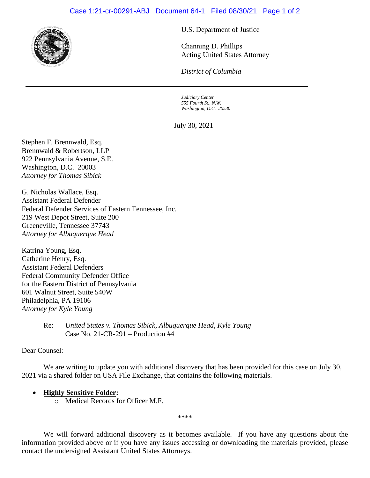

U.S. Department of Justice

Channing D. Phillips Acting United States Attorney

*District of Columbia*

*Judiciary Center 555 Fourth St., N.W. Washington, D.C. 20530*

July 30, 2021

Stephen F. Brennwald, Esq. Brennwald & Robertson, LLP 922 Pennsylvania Avenue, S.E. Washington, D.C. 20003 *Attorney for Thomas Sibick*

G. Nicholas Wallace, Esq. Assistant Federal Defender Federal Defender Services of Eastern Tennessee, Inc. 219 West Depot Street, Suite 200 Greeneville, Tennessee 37743 *Attorney for Albuquerque Head*

Katrina Young, Esq. Catherine Henry, Esq. Assistant Federal Defenders Federal Community Defender Office for the Eastern District of Pennsylvania 601 Walnut Street, Suite 540W Philadelphia, PA 19106 *Attorney for Kyle Young*

> Re: *United States v. Thomas Sibick, Albuquerque Head, Kyle Young*  Case No. 21-CR-291 – Production #4

Dear Counsel:

We are writing to update you with additional discovery that has been provided for this case on July 30, 2021 via a shared folder on USA File Exchange, that contains the following materials.

## • **Highly Sensitive Folder:**

o Medical Records for Officer M.F.

\*\*\*\*

We will forward additional discovery as it becomes available. If you have any questions about the information provided above or if you have any issues accessing or downloading the materials provided, please contact the undersigned Assistant United States Attorneys.